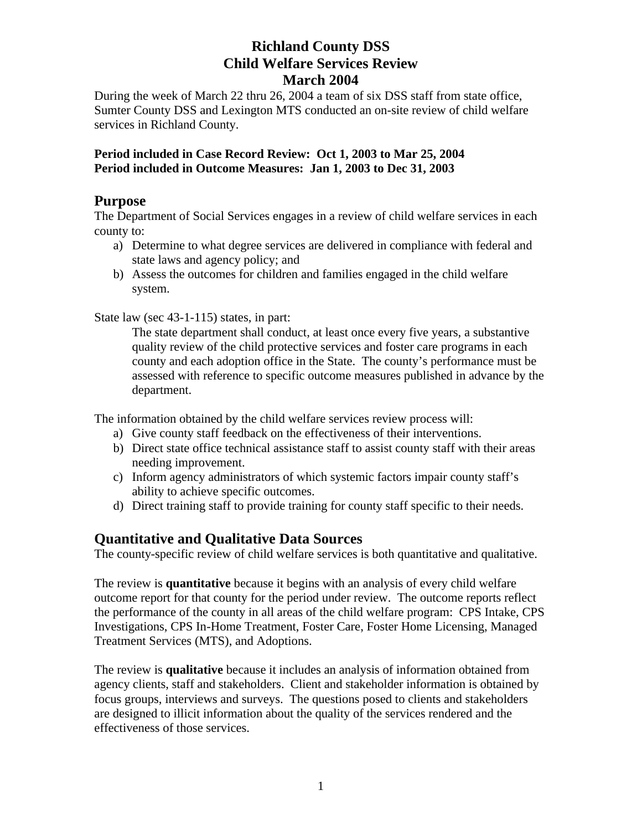During the week of March 22 thru 26, 2004 a team of six DSS staff from state office, Sumter County DSS and Lexington MTS conducted an on-site review of child welfare services in Richland County.

#### **Period included in Case Record Review: Oct 1, 2003 to Mar 25, 2004 Period included in Outcome Measures: Jan 1, 2003 to Dec 31, 2003**

## **Purpose**

The Department of Social Services engages in a review of child welfare services in each county to:

- a) Determine to what degree services are delivered in compliance with federal and state laws and agency policy; and
- b) Assess the outcomes for children and families engaged in the child welfare system.

State law (sec 43-1-115) states, in part:

The state department shall conduct, at least once every five years, a substantive quality review of the child protective services and foster care programs in each county and each adoption office in the State. The county's performance must be assessed with reference to specific outcome measures published in advance by the department.

The information obtained by the child welfare services review process will:

- a) Give county staff feedback on the effectiveness of their interventions.
- b) Direct state office technical assistance staff to assist county staff with their areas needing improvement.
- c) Inform agency administrators of which systemic factors impair county staff's ability to achieve specific outcomes.
- d) Direct training staff to provide training for county staff specific to their needs.

## **Quantitative and Qualitative Data Sources**

The county-specific review of child welfare services is both quantitative and qualitative.

The review is **quantitative** because it begins with an analysis of every child welfare outcome report for that county for the period under review. The outcome reports reflect the performance of the county in all areas of the child welfare program: CPS Intake, CPS Investigations, CPS In-Home Treatment, Foster Care, Foster Home Licensing, Managed Treatment Services (MTS), and Adoptions.

The review is **qualitative** because it includes an analysis of information obtained from agency clients, staff and stakeholders. Client and stakeholder information is obtained by focus groups, interviews and surveys. The questions posed to clients and stakeholders are designed to illicit information about the quality of the services rendered and the effectiveness of those services.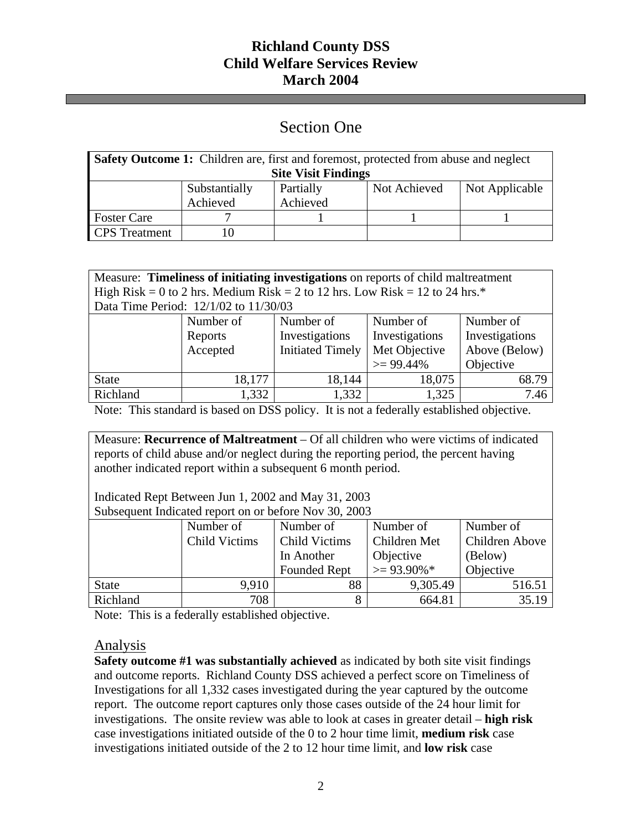# Section One

| <b>Safety Outcome 1:</b> Children are, first and foremost, protected from abuse and neglect |               |           |              |                |
|---------------------------------------------------------------------------------------------|---------------|-----------|--------------|----------------|
| <b>Site Visit Findings</b>                                                                  |               |           |              |                |
|                                                                                             | Substantially | Partially | Not Achieved | Not Applicable |
|                                                                                             | Achieved      | Achieved  |              |                |
| <b>Foster Care</b>                                                                          |               |           |              |                |
| <b>CPS</b> Treatment                                                                        |               |           |              |                |

| Measure: Timeliness of initiating investigations on reports of child maltreatment |
|-----------------------------------------------------------------------------------|
| High Risk = 0 to 2 hrs. Medium Risk = 2 to 12 hrs. Low Risk = 12 to 24 hrs.*      |
| Data Time Period: 12/1/02 to 11/30/03                                             |

|              | Number of | Number of               | Number of      | Number of      |
|--------------|-----------|-------------------------|----------------|----------------|
|              | Reports   | Investigations          | Investigations | Investigations |
|              | Accepted  | <b>Initiated Timely</b> | Met Objective  | Above (Below)  |
|              |           |                         | $>= 99.44\%$   | Objective      |
| <b>State</b> | 18,177    | 18,144                  | 18,075         | 68.79          |
| Richland     | 1,332     | 1,332                   | 1,325          | 7.46           |

Note: This standard is based on DSS policy. It is not a federally established objective.

Measure: **Recurrence of Maltreatment** – Of all children who were victims of indicated reports of child abuse and/or neglect during the reporting period, the percent having another indicated report within a subsequent 6 month period.

Indicated Rept Between Jun 1, 2002 and May 31, 2003 Subsequent Indicated report on or before Nov 30, 2003

| Dubschucht muicaleu Teport on of before FWV 90, 2009 |               |                      |                |                |
|------------------------------------------------------|---------------|----------------------|----------------|----------------|
|                                                      | Number of     | Number of            | Number of      | Number of      |
|                                                      | Child Victims | <b>Child Victims</b> | Children Met   | Children Above |
|                                                      |               | In Another           | Objective      | (Below)        |
|                                                      |               | <b>Founded Rept</b>  | $\geq$ 93.90%* | Objective      |
| <b>State</b>                                         | 9.910         | 88                   | 9,305.49       | 516.51         |
| Richland                                             | 708           |                      | 664.81         | 35.19          |

Note: This is a federally established objective.

## Analysis

**Safety outcome #1 was substantially achieved** as indicated by both site visit findings and outcome reports. Richland County DSS achieved a perfect score on Timeliness of Investigations for all 1,332 cases investigated during the year captured by the outcome report. The outcome report captures only those cases outside of the 24 hour limit for investigations. The onsite review was able to look at cases in greater detail – **high risk**  case investigations initiated outside of the 0 to 2 hour time limit, **medium risk** case investigations initiated outside of the 2 to 12 hour time limit, and **low risk** case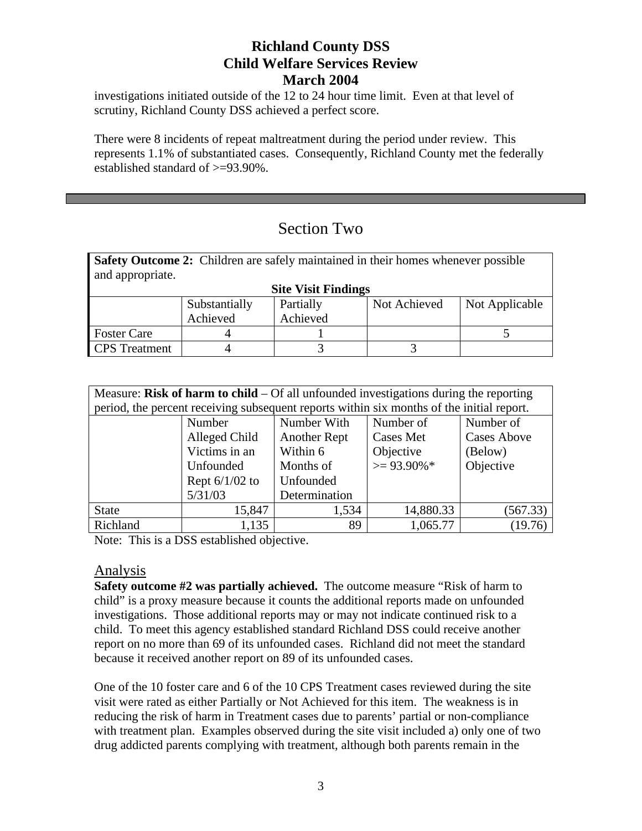investigations initiated outside of the 12 to 24 hour time limit. Even at that level of scrutiny, Richland County DSS achieved a perfect score.

There were 8 incidents of repeat maltreatment during the period under review. This represents 1.1% of substantiated cases. Consequently, Richland County met the federally established standard of >=93.90%.

# Section Two

**Safety Outcome 2:** Children are safely maintained in their homes whenever possible and appropriate.

|                      |               | <b>Site Visit Findings</b> |              |                |
|----------------------|---------------|----------------------------|--------------|----------------|
|                      | Substantially | Partially                  | Not Achieved | Not Applicable |
|                      | Achieved      | Achieved                   |              |                |
| <b>Foster Care</b>   |               |                            |              |                |
| <b>CPS</b> Treatment |               |                            |              |                |

| Measure: Risk of harm to child $-$ Of all unfounded investigations during the reporting |                                                                                           |                     |                  |                    |
|-----------------------------------------------------------------------------------------|-------------------------------------------------------------------------------------------|---------------------|------------------|--------------------|
|                                                                                         | period, the percent receiving subsequent reports within six months of the initial report. |                     |                  |                    |
|                                                                                         | Number                                                                                    | Number With         | Number of        | Number of          |
|                                                                                         | Alleged Child                                                                             | <b>Another Rept</b> | <b>Cases Met</b> | <b>Cases Above</b> |
|                                                                                         | Victims in an                                                                             | Within 6            | Objective        | (Below)            |
|                                                                                         | Unfounded                                                                                 | Months of           | $\geq$ 93.90%*   | Objective          |
|                                                                                         | Rept $6/1/02$ to                                                                          | Unfounded           |                  |                    |
|                                                                                         | 5/31/03                                                                                   | Determination       |                  |                    |
| <b>State</b>                                                                            | 15,847                                                                                    | 1,534               | 14,880.33        | (567.33)           |
| Richland                                                                                | 1,135                                                                                     | 89                  | 1,065.77         | (19.76)            |

Note: This is a DSS established objective.

## Analysis

**Safety outcome #2 was partially achieved.** The outcome measure "Risk of harm to child" is a proxy measure because it counts the additional reports made on unfounded investigations. Those additional reports may or may not indicate continued risk to a child. To meet this agency established standard Richland DSS could receive another report on no more than 69 of its unfounded cases. Richland did not meet the standard because it received another report on 89 of its unfounded cases.

One of the 10 foster care and 6 of the 10 CPS Treatment cases reviewed during the site visit were rated as either Partially or Not Achieved for this item. The weakness is in reducing the risk of harm in Treatment cases due to parents' partial or non-compliance with treatment plan. Examples observed during the site visit included a) only one of two drug addicted parents complying with treatment, although both parents remain in the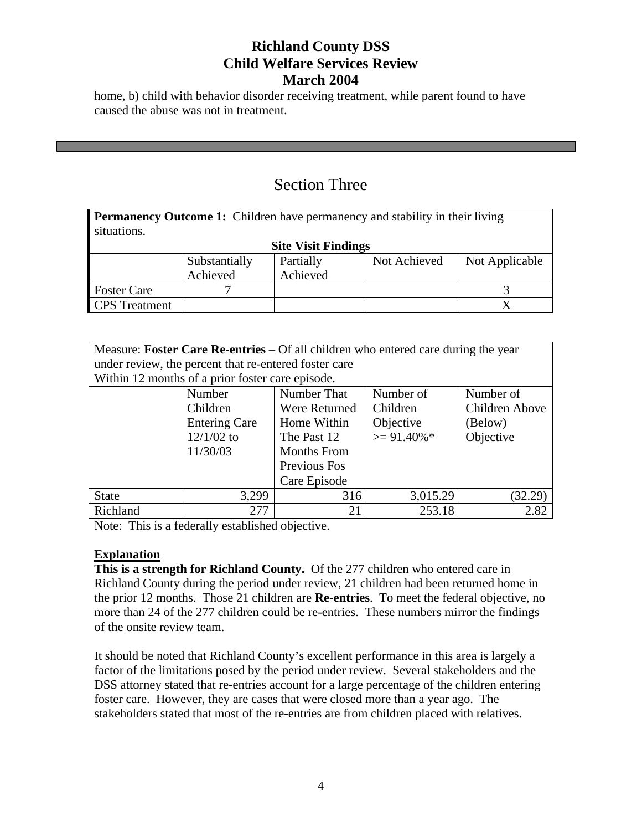home, b) child with behavior disorder receiving treatment, while parent found to have caused the abuse was not in treatment.

# Section Three

**Permanency Outcome 1:** Children have permanency and stability in their living situations.

|                      |               | <b>Site Visit Findings</b> |              |                |
|----------------------|---------------|----------------------------|--------------|----------------|
|                      | Substantially | Partially                  | Not Achieved | Not Applicable |
|                      | Achieved      | Achieved                   |              |                |
| <b>Foster Care</b>   |               |                            |              |                |
| <b>CPS</b> Treatment |               |                            |              |                |

| Measure: Foster Care Re-entries – Of all children who entered care during the year |                                                       |                    |                |                |
|------------------------------------------------------------------------------------|-------------------------------------------------------|--------------------|----------------|----------------|
|                                                                                    | under review, the percent that re-entered foster care |                    |                |                |
|                                                                                    | Within 12 months of a prior foster care episode.      |                    |                |                |
|                                                                                    | Number                                                | Number That        | Number of      | Number of      |
|                                                                                    | Children                                              | Were Returned      | Children       | Children Above |
|                                                                                    | <b>Entering Care</b>                                  | Home Within        | Objective      | (Below)        |
|                                                                                    | $12/1/02$ to                                          | The Past 12        | $\geq$ 91.40%* | Objective      |
|                                                                                    | 11/30/03                                              | <b>Months From</b> |                |                |
|                                                                                    |                                                       | Previous Fos       |                |                |
|                                                                                    |                                                       | Care Episode       |                |                |
| <b>State</b>                                                                       | 3,299                                                 | 316                | 3,015.29       | (32.29)        |
| Richland                                                                           | 277                                                   | 21                 | 253.18         | 2.82           |

Note: This is a federally established objective.

### **Explanation**

**This is a strength for Richland County.** Of the 277 children who entered care in Richland County during the period under review, 21 children had been returned home in the prior 12 months. Those 21 children are **Re-entries**. To meet the federal objective, no more than 24 of the 277 children could be re-entries. These numbers mirror the findings of the onsite review team.

It should be noted that Richland County's excellent performance in this area is largely a factor of the limitations posed by the period under review. Several stakeholders and the DSS attorney stated that re-entries account for a large percentage of the children entering foster care. However, they are cases that were closed more than a year ago. The stakeholders stated that most of the re-entries are from children placed with relatives.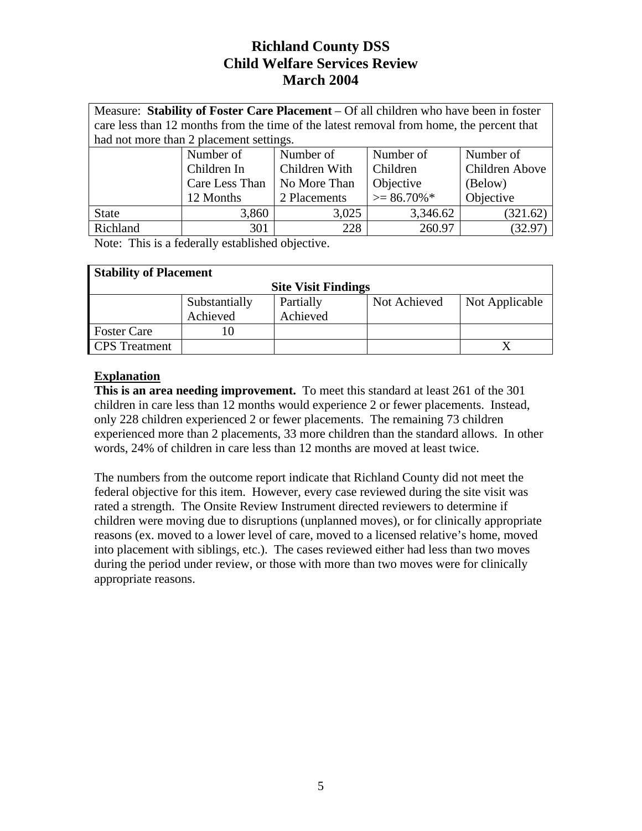| Measure: Stability of Foster Care Placement – Of all children who have been in foster |                                         |                                                                                          |                |                |
|---------------------------------------------------------------------------------------|-----------------------------------------|------------------------------------------------------------------------------------------|----------------|----------------|
|                                                                                       |                                         | care less than 12 months from the time of the latest removal from home, the percent that |                |                |
|                                                                                       | had not more than 2 placement settings. |                                                                                          |                |                |
|                                                                                       | Number of                               | Number of                                                                                | Number of      | Number of      |
|                                                                                       | Children In                             | Children With                                                                            | Children       | Children Above |
|                                                                                       | Care Less Than                          | No More Than                                                                             | Objective      | (Below)        |
|                                                                                       | 12 Months                               | 2 Placements                                                                             | $\geq$ 86.70%* | Objective      |
| <b>State</b>                                                                          | 3,860                                   | 3,025                                                                                    | 3,346.62       | (321.62)       |
| Richland                                                                              | 301                                     | 228                                                                                      | 260.97         | (32.97)        |

Note: This is a federally established objective.

| <b>Stability of Placement</b> |               |                            |              |                |
|-------------------------------|---------------|----------------------------|--------------|----------------|
|                               |               | <b>Site Visit Findings</b> |              |                |
|                               | Substantially | Partially                  | Not Achieved | Not Applicable |
|                               | Achieved      | Achieved                   |              |                |
| <b>Foster Care</b>            | 10            |                            |              |                |
| <b>CPS</b> Treatment          |               |                            |              |                |

## **Explanation**

**This is an area needing improvement.** To meet this standard at least 261 of the 301 children in care less than 12 months would experience 2 or fewer placements. Instead, only 228 children experienced 2 or fewer placements. The remaining 73 children experienced more than 2 placements, 33 more children than the standard allows. In other words, 24% of children in care less than 12 months are moved at least twice.

The numbers from the outcome report indicate that Richland County did not meet the federal objective for this item. However, every case reviewed during the site visit was rated a strength. The Onsite Review Instrument directed reviewers to determine if children were moving due to disruptions (unplanned moves), or for clinically appropriate reasons (ex. moved to a lower level of care, moved to a licensed relative's home, moved into placement with siblings, etc.). The cases reviewed either had less than two moves during the period under review, or those with more than two moves were for clinically appropriate reasons.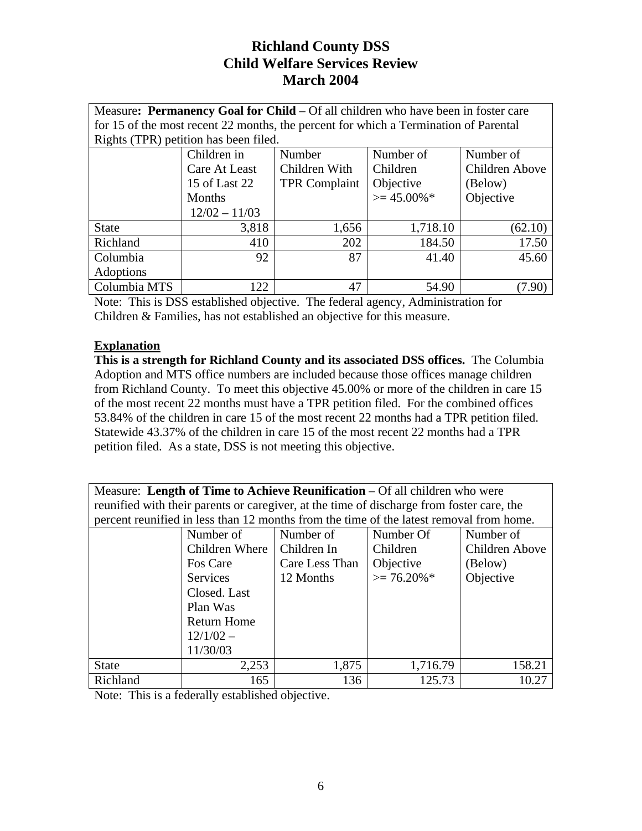| Measure: Permanency Goal for Child – Of all children who have been in foster care |                                       |                                                                                      |                |                       |
|-----------------------------------------------------------------------------------|---------------------------------------|--------------------------------------------------------------------------------------|----------------|-----------------------|
|                                                                                   |                                       | for 15 of the most recent 22 months, the percent for which a Termination of Parental |                |                       |
|                                                                                   | Rights (TPR) petition has been filed. |                                                                                      |                |                       |
|                                                                                   | Children in                           | Number                                                                               | Number of      | Number of             |
|                                                                                   | Care At Least                         | Children With                                                                        | Children       | <b>Children Above</b> |
|                                                                                   | 15 of Last 22                         | <b>TPR Complaint</b>                                                                 | Objective      | (Below)               |
|                                                                                   | Months                                |                                                                                      | $\geq$ 45.00%* | Objective             |
|                                                                                   | $12/02 - 11/03$                       |                                                                                      |                |                       |
| <b>State</b>                                                                      | 3,818                                 | 1,656                                                                                | 1,718.10       | (62.10)               |
| Richland                                                                          | 410                                   | 202                                                                                  | 184.50         | 17.50                 |
| Columbia                                                                          | 92                                    | 87                                                                                   | 41.40          | 45.60                 |
| Adoptions                                                                         |                                       |                                                                                      |                |                       |
| Columbia MTS                                                                      | 122.                                  | 47                                                                                   | 54.90          | $.90^{\circ}$         |

Note: This is DSS established objective. The federal agency, Administration for Children & Families, has not established an objective for this measure.

## **Explanation**

**This is a strength for Richland County and its associated DSS offices.** The Columbia Adoption and MTS office numbers are included because those offices manage children from Richland County. To meet this objective 45.00% or more of the children in care 15 of the most recent 22 months must have a TPR petition filed. For the combined offices 53.84% of the children in care 15 of the most recent 22 months had a TPR petition filed. Statewide 43.37% of the children in care 15 of the most recent 22 months had a TPR petition filed. As a state, DSS is not meeting this objective.

| Measure: Length of Time to Achieve Reunification $-$ Of all children who were             |
|-------------------------------------------------------------------------------------------|
| reunified with their parents or caregiver, at the time of discharge from foster care, the |
| percent reunified in less than 12 months from the time of the latest removal from home.   |

|              | Number of          | Number of      | Number Of      | Number of      |
|--------------|--------------------|----------------|----------------|----------------|
|              | Children Where     | Children In    | Children       | Children Above |
|              | Fos Care           | Care Less Than | Objective      | (Below)        |
|              | <b>Services</b>    | 12 Months      | $\geq$ 76.20%* | Objective      |
|              | Closed. Last       |                |                |                |
|              | Plan Was           |                |                |                |
|              | <b>Return Home</b> |                |                |                |
|              | $12/1/02 -$        |                |                |                |
|              | 11/30/03           |                |                |                |
| <b>State</b> | 2,253              | 1,875          | 1,716.79       | 158.21         |
| Richland     | 165                | 136            | 125.73         | 10.27          |

Note: This is a federally established objective.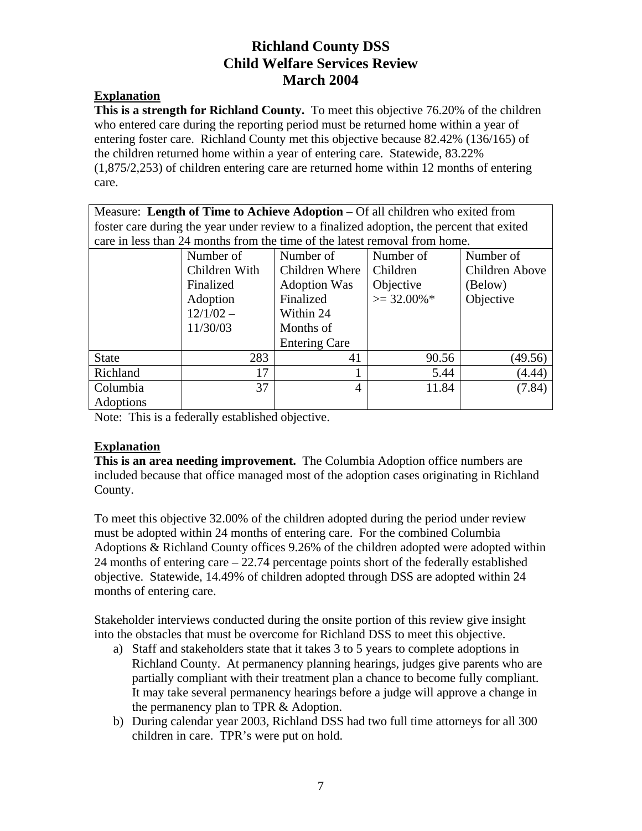#### **Explanation**

**This is a strength for Richland County.** To meet this objective 76.20% of the children who entered care during the reporting period must be returned home within a year of entering foster care. Richland County met this objective because 82.42% (136/165) of the children returned home within a year of entering care. Statewide, 83.22% (1,875/2,253) of children entering care are returned home within 12 months of entering care.

Measure: **Length of Time to Achieve Adoption** – Of all children who exited from foster care during the year under review to a finalized adoption, the percent that exited care in less than 24 months from the time of the latest removal from home.

|              | Number of     | Number of            | Number of      | Number of      |
|--------------|---------------|----------------------|----------------|----------------|
|              | Children With | Children Where       | Children       | Children Above |
|              | Finalized     | <b>Adoption Was</b>  | Objective      | (Below)        |
|              | Adoption      | Finalized            | $\geq$ 32.00%* | Objective      |
|              | $12/1/02 -$   | Within 24            |                |                |
|              | 11/30/03      | Months of            |                |                |
|              |               | <b>Entering Care</b> |                |                |
| <b>State</b> | 283           | 41                   | 90.56          | (49.56)        |
| Richland     | 17            |                      | 5.44           | (4.44)         |
| Columbia     | 37            | 4                    | 11.84          | (7.84)         |
| Adoptions    |               |                      |                |                |

Note: This is a federally established objective.

### **Explanation**

**This is an area needing improvement.** The Columbia Adoption office numbers are included because that office managed most of the adoption cases originating in Richland County.

To meet this objective 32.00% of the children adopted during the period under review must be adopted within 24 months of entering care. For the combined Columbia Adoptions & Richland County offices 9.26% of the children adopted were adopted within 24 months of entering care – 22.74 percentage points short of the federally established objective. Statewide, 14.49% of children adopted through DSS are adopted within 24 months of entering care.

Stakeholder interviews conducted during the onsite portion of this review give insight into the obstacles that must be overcome for Richland DSS to meet this objective.

- a) Staff and stakeholders state that it takes 3 to 5 years to complete adoptions in Richland County. At permanency planning hearings, judges give parents who are partially compliant with their treatment plan a chance to become fully compliant. It may take several permanency hearings before a judge will approve a change in the permanency plan to TPR & Adoption.
- b) During calendar year 2003, Richland DSS had two full time attorneys for all 300 children in care. TPR's were put on hold.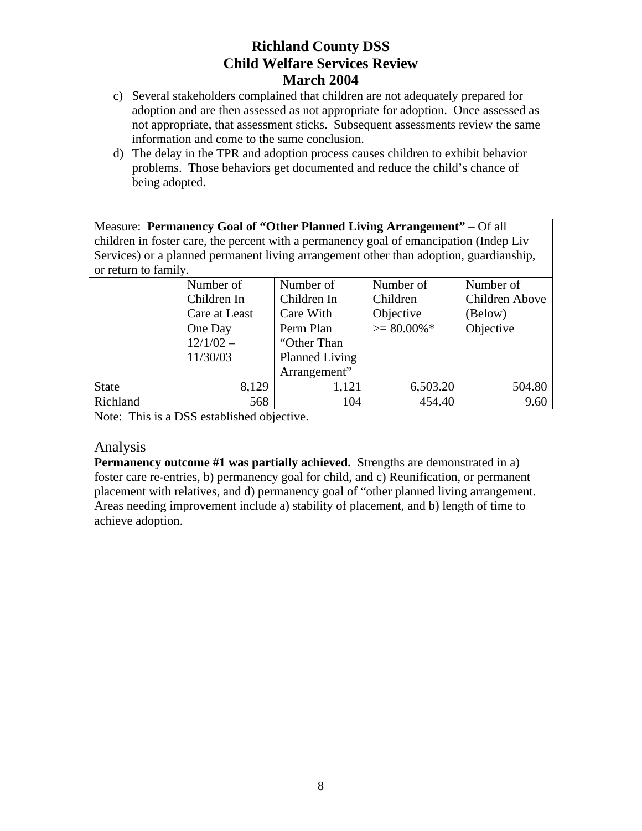- c) Several stakeholders complained that children are not adequately prepared for adoption and are then assessed as not appropriate for adoption. Once assessed as not appropriate, that assessment sticks. Subsequent assessments review the same information and come to the same conclusion.
- d) The delay in the TPR and adoption process causes children to exhibit behavior problems. Those behaviors get documented and reduce the child's chance of being adopted.

Measure: **Permanency Goal of "Other Planned Living Arrangement"** – Of all children in foster care, the percent with a permanency goal of emancipation (Indep Liv Services) or a planned permanent living arrangement other than adoption, guardianship, or return to family.

|              | Number of<br>Children In<br>Care at Least<br>One Day<br>$12/1/02 -$<br>11/30/03 | Number of<br>Children In<br>Care With<br>Perm Plan<br>"Other Than<br>Planned Living | Number of<br>Children<br>Objective<br>$>= 80.00\%$ * | Number of<br>Children Above<br>(Below)<br>Objective |
|--------------|---------------------------------------------------------------------------------|-------------------------------------------------------------------------------------|------------------------------------------------------|-----------------------------------------------------|
|              |                                                                                 | Arrangement"                                                                        |                                                      |                                                     |
| <b>State</b> | 8,129                                                                           | 1,121                                                                               | 6,503.20                                             | 504.80                                              |
| Richland     | 568                                                                             | 104                                                                                 | 454.40                                               | 9.60                                                |

Note: This is a DSS established objective.

## Analysis

**Permanency outcome #1 was partially achieved.** Strengths are demonstrated in a) foster care re-entries, b) permanency goal for child, and c) Reunification, or permanent placement with relatives, and d) permanency goal of "other planned living arrangement. Areas needing improvement include a) stability of placement, and b) length of time to achieve adoption.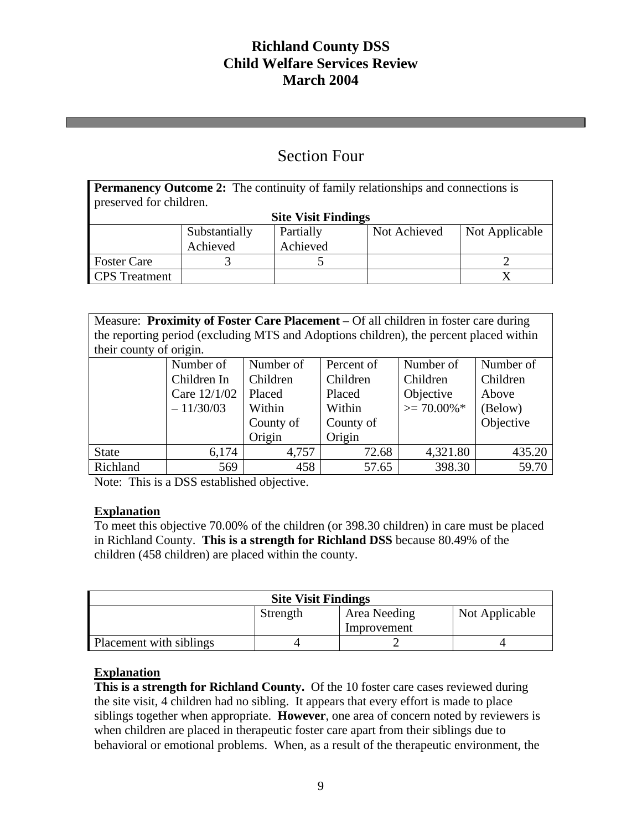# Section Four

| <b>Permanency Outcome 2:</b> The continuity of family relationships and connections is |                            |           |              |                |  |
|----------------------------------------------------------------------------------------|----------------------------|-----------|--------------|----------------|--|
| preserved for children.                                                                |                            |           |              |                |  |
|                                                                                        | <b>Site Visit Findings</b> |           |              |                |  |
|                                                                                        | Substantially              | Partially | Not Achieved | Not Applicable |  |
|                                                                                        | Achieved                   | Achieved  |              |                |  |
| <b>Foster Care</b>                                                                     |                            |           |              |                |  |
| <b>CPS</b> Treatment                                                                   |                            |           |              |                |  |

Measure: **Proximity of Foster Care Placement** – Of all children in foster care during the reporting period (excluding MTS and Adoptions children), the percent placed within their county of origin.

|              | Number of    | Number of | Percent of | Number of      | Number of |  |
|--------------|--------------|-----------|------------|----------------|-----------|--|
|              | Children In  | Children  | Children   | Children       | Children  |  |
|              | Care 12/1/02 | Placed    | Placed     | Objective      | Above     |  |
|              | $-11/30/03$  | Within    | Within     | $\geq$ 70.00%* | (Below)   |  |
|              |              | County of | County of  |                | Objective |  |
|              |              | Origin    | Origin     |                |           |  |
| <b>State</b> | 6,174        | 4,757     | 72.68      | 4,321.80       | 435.20    |  |
| Richland     | 569          | 458       | 57.65      | 398.30         | 59.70     |  |

Note: This is a DSS established objective.

### **Explanation**

To meet this objective 70.00% of the children (or 398.30 children) in care must be placed in Richland County. **This is a strength for Richland DSS** because 80.49% of the children (458 children) are placed within the county.

| <b>Site Visit Findings</b>                 |             |  |  |  |  |
|--------------------------------------------|-------------|--|--|--|--|
| Not Applicable<br>Area Needing<br>Strength |             |  |  |  |  |
|                                            | Improvement |  |  |  |  |
| Placement with siblings                    |             |  |  |  |  |

## **Explanation**

**This is a strength for Richland County.** Of the 10 foster care cases reviewed during the site visit, 4 children had no sibling. It appears that every effort is made to place siblings together when appropriate. **However**, one area of concern noted by reviewers is when children are placed in therapeutic foster care apart from their siblings due to behavioral or emotional problems. When, as a result of the therapeutic environment, the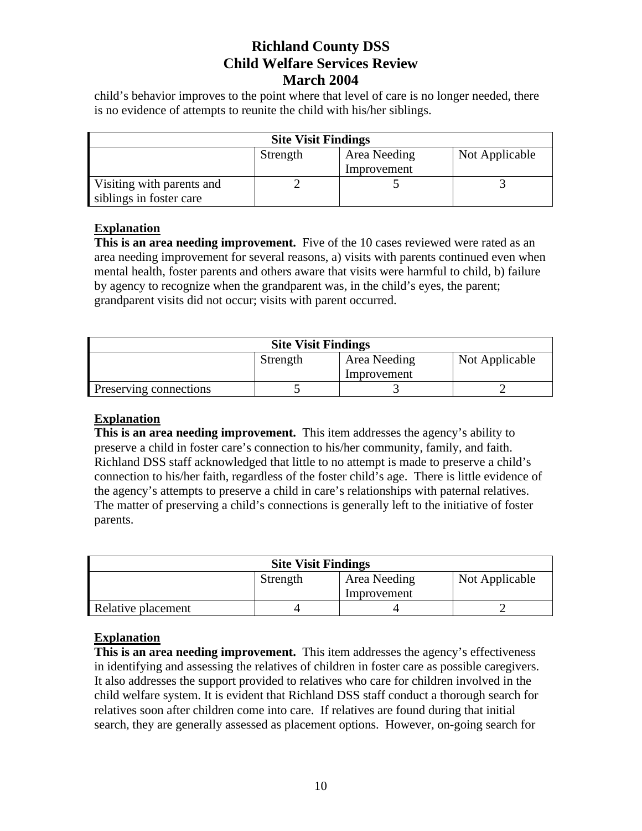child's behavior improves to the point where that level of care is no longer needed, there is no evidence of attempts to reunite the child with his/her siblings.

| <b>Site Visit Findings</b>                                |  |  |  |  |  |
|-----------------------------------------------------------|--|--|--|--|--|
| Not Applicable<br>Area Needing<br>Strength<br>Improvement |  |  |  |  |  |
| Visiting with parents and<br>siblings in foster care      |  |  |  |  |  |

### **Explanation**

**This is an area needing improvement.** Five of the 10 cases reviewed were rated as an area needing improvement for several reasons, a) visits with parents continued even when mental health, foster parents and others aware that visits were harmful to child, b) failure by agency to recognize when the grandparent was, in the child's eyes, the parent; grandparent visits did not occur; visits with parent occurred.

| <b>Site Visit Findings</b>                 |  |  |  |  |
|--------------------------------------------|--|--|--|--|
| Not Applicable<br>Area Needing<br>Strength |  |  |  |  |
| Improvement                                |  |  |  |  |
| Preserving connections                     |  |  |  |  |

#### **Explanation**

**This is an area needing improvement.** This item addresses the agency's ability to preserve a child in foster care's connection to his/her community, family, and faith. Richland DSS staff acknowledged that little to no attempt is made to preserve a child's connection to his/her faith, regardless of the foster child's age. There is little evidence of the agency's attempts to preserve a child in care's relationships with paternal relatives. The matter of preserving a child's connections is generally left to the initiative of foster parents.

| <b>Site Visit Findings</b>                 |             |  |  |  |  |  |
|--------------------------------------------|-------------|--|--|--|--|--|
| Not Applicable<br>Area Needing<br>Strength |             |  |  |  |  |  |
|                                            | Improvement |  |  |  |  |  |
| Relative placement                         |             |  |  |  |  |  |

### **Explanation**

**This is an area needing improvement.** This item addresses the agency's effectiveness in identifying and assessing the relatives of children in foster care as possible caregivers. It also addresses the support provided to relatives who care for children involved in the child welfare system. It is evident that Richland DSS staff conduct a thorough search for relatives soon after children come into care. If relatives are found during that initial search, they are generally assessed as placement options. However, on-going search for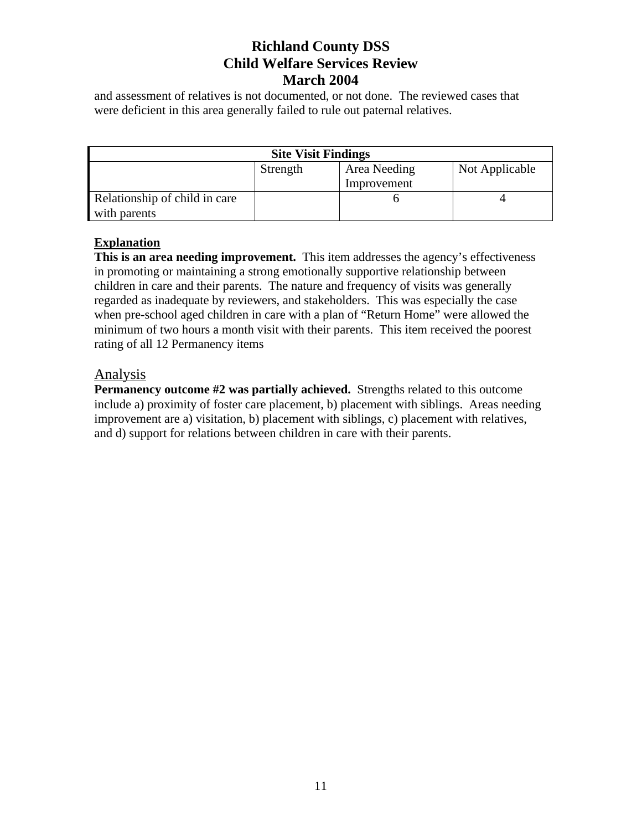and assessment of relatives is not documented, or not done. The reviewed cases that were deficient in this area generally failed to rule out paternal relatives.

| <b>Site Visit Findings</b>                 |  |             |  |  |
|--------------------------------------------|--|-------------|--|--|
| Not Applicable<br>Area Needing<br>Strength |  |             |  |  |
|                                            |  | Improvement |  |  |
| Relationship of child in care              |  |             |  |  |
| with parents                               |  |             |  |  |

### **Explanation**

**This is an area needing improvement.** This item addresses the agency's effectiveness in promoting or maintaining a strong emotionally supportive relationship between children in care and their parents. The nature and frequency of visits was generally regarded as inadequate by reviewers, and stakeholders. This was especially the case when pre-school aged children in care with a plan of "Return Home" were allowed the minimum of two hours a month visit with their parents. This item received the poorest rating of all 12 Permanency items

### Analysis

**Permanency outcome #2 was partially achieved.** Strengths related to this outcome include a) proximity of foster care placement, b) placement with siblings. Areas needing improvement are a) visitation, b) placement with siblings, c) placement with relatives, and d) support for relations between children in care with their parents.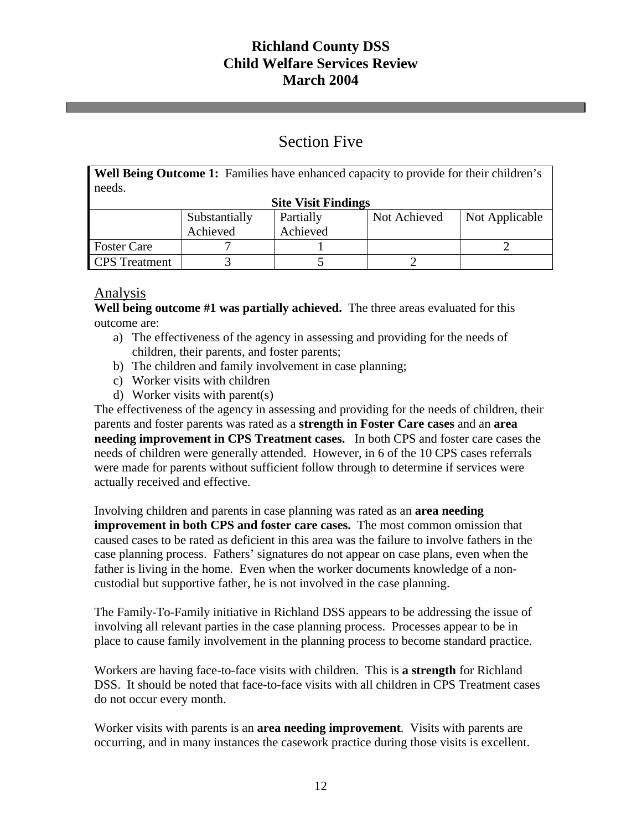# Section Five

**Well Being Outcome 1:** Families have enhanced capacity to provide for their children's needs.

| <b>Site Visit Findings</b> |               |           |              |                |  |
|----------------------------|---------------|-----------|--------------|----------------|--|
|                            | Substantially | Partially | Not Achieved | Not Applicable |  |
|                            | Achieved      | Achieved  |              |                |  |
| <b>Foster Care</b>         |               |           |              |                |  |
| <b>CPS</b> Treatment       |               |           |              |                |  |

## Analysis

**Well being outcome #1 was partially achieved.** The three areas evaluated for this outcome are:

- a) The effectiveness of the agency in assessing and providing for the needs of children, their parents, and foster parents;
- b) The children and family involvement in case planning;
- c) Worker visits with children
- d) Worker visits with parent(s)

The effectiveness of the agency in assessing and providing for the needs of children, their parents and foster parents was rated as a **strength in Foster Care cases** and an **area needing improvement in CPS Treatment cases.** In both CPS and foster care cases the needs of children were generally attended. However, in 6 of the 10 CPS cases referrals were made for parents without sufficient follow through to determine if services were actually received and effective.

Involving children and parents in case planning was rated as an **area needing improvement in both CPS and foster care cases.** The most common omission that caused cases to be rated as deficient in this area was the failure to involve fathers in the case planning process. Fathers' signatures do not appear on case plans, even when the father is living in the home. Even when the worker documents knowledge of a noncustodial but supportive father, he is not involved in the case planning.

The Family-To-Family initiative in Richland DSS appears to be addressing the issue of involving all relevant parties in the case planning process. Processes appear to be in place to cause family involvement in the planning process to become standard practice.

Workers are having face-to-face visits with children. This is **a strength** for Richland DSS. It should be noted that face-to-face visits with all children in CPS Treatment cases do not occur every month.

Worker visits with parents is an **area needing improvement**. Visits with parents are occurring, and in many instances the casework practice during those visits is excellent.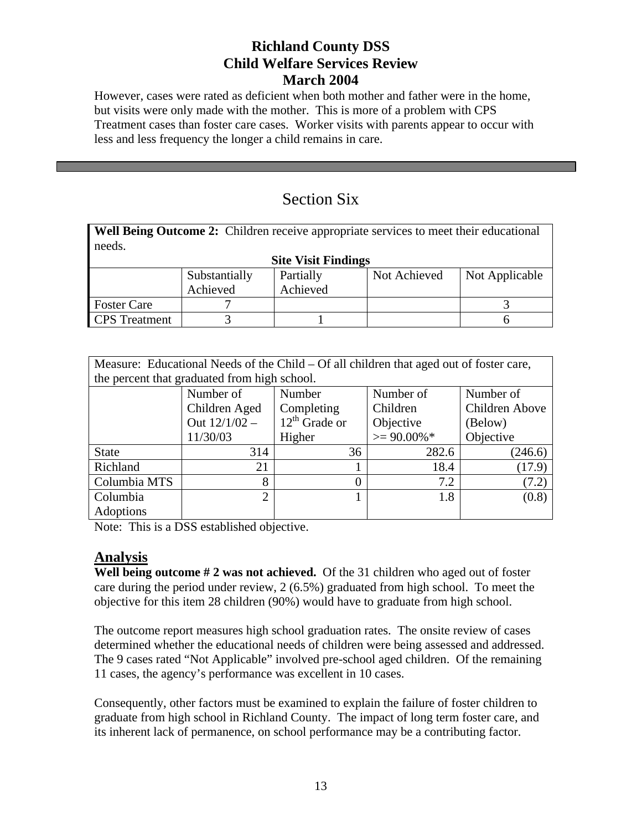However, cases were rated as deficient when both mother and father were in the home, but visits were only made with the mother. This is more of a problem with CPS Treatment cases than foster care cases. Worker visits with parents appear to occur with less and less frequency the longer a child remains in care.

# Section Six

**Well Being Outcome 2:** Children receive appropriate services to meet their educational needs.

| <b>Site Visit Findings</b> |               |           |              |                |  |
|----------------------------|---------------|-----------|--------------|----------------|--|
|                            | Substantially | Partially | Not Achieved | Not Applicable |  |
|                            | Achieved      | Achieved  |              |                |  |
| <b>Foster Care</b>         |               |           |              |                |  |
| <b>CPS</b> Treatment       |               |           |              |                |  |

| Measure: Educational Needs of the Child – Of all children that aged out of foster care, |                 |                    |                |                |  |  |
|-----------------------------------------------------------------------------------------|-----------------|--------------------|----------------|----------------|--|--|
| the percent that graduated from high school.                                            |                 |                    |                |                |  |  |
|                                                                                         | Number of       | Number             | Number of      | Number of      |  |  |
|                                                                                         | Children Aged   | Completing         | Children       | Children Above |  |  |
|                                                                                         | Out $12/1/02 -$ | $12^{th}$ Grade or | Objective      | (Below)        |  |  |
|                                                                                         | 11/30/03        | Higher             | $\geq$ 90.00%* | Objective      |  |  |
| <b>State</b>                                                                            | 314             | 36                 | 282.6          | (246.6)        |  |  |
| Richland                                                                                | 21              |                    | 18.4           | (17.9)         |  |  |
| Columbia MTS                                                                            | 8               |                    | 7.2            | (7.2)          |  |  |
| Columbia                                                                                | $\overline{2}$  |                    | 1.8            | (0.8)          |  |  |
| Adoptions                                                                               |                 |                    |                |                |  |  |

Note: This is a DSS established objective.

## **Analysis**

**Well being outcome # 2 was not achieved.** Of the 31 children who aged out of foster care during the period under review, 2 (6.5%) graduated from high school. To meet the objective for this item 28 children (90%) would have to graduate from high school.

The outcome report measures high school graduation rates. The onsite review of cases determined whether the educational needs of children were being assessed and addressed. The 9 cases rated "Not Applicable" involved pre-school aged children. Of the remaining 11 cases, the agency's performance was excellent in 10 cases.

Consequently, other factors must be examined to explain the failure of foster children to graduate from high school in Richland County. The impact of long term foster care, and its inherent lack of permanence, on school performance may be a contributing factor.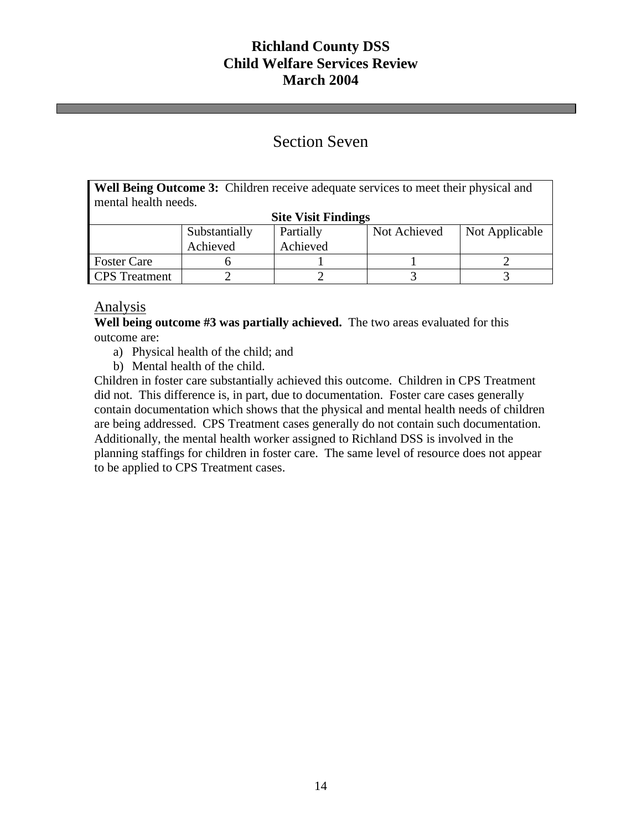# Section Seven

**Well Being Outcome 3:** Children receive adequate services to meet their physical and mental health needs.

| <b>Site Visit Findings</b> |               |           |              |                |  |  |
|----------------------------|---------------|-----------|--------------|----------------|--|--|
|                            | Substantially | Partially | Not Achieved | Not Applicable |  |  |
|                            | Achieved      | Achieved  |              |                |  |  |
| <b>Foster Care</b>         |               |           |              |                |  |  |
| <b>CPS</b> Treatment       |               |           |              |                |  |  |

## Analysis

**Well being outcome #3 was partially achieved.** The two areas evaluated for this outcome are:

- a) Physical health of the child; and
- b) Mental health of the child.

Children in foster care substantially achieved this outcome. Children in CPS Treatment did not. This difference is, in part, due to documentation. Foster care cases generally contain documentation which shows that the physical and mental health needs of children are being addressed. CPS Treatment cases generally do not contain such documentation. Additionally, the mental health worker assigned to Richland DSS is involved in the planning staffings for children in foster care. The same level of resource does not appear to be applied to CPS Treatment cases.